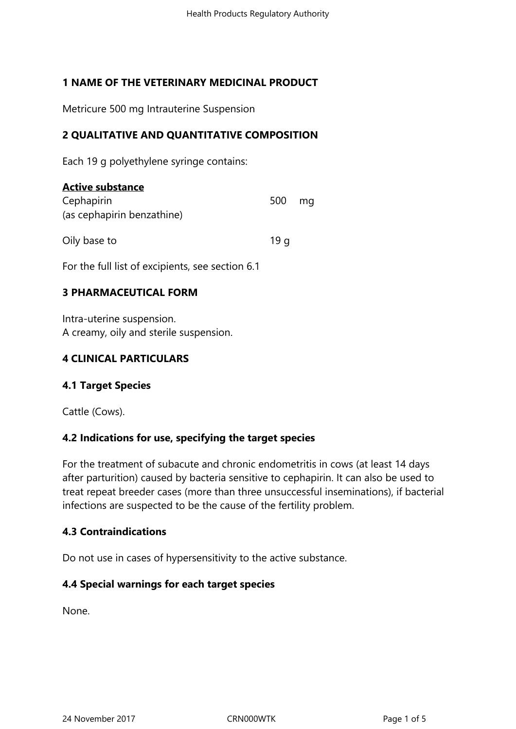# **1 NAME OF THE VETERINARY MEDICINAL PRODUCT**

Metricure 500 mg Intrauterine Suspension

## **2 QUALITATIVE AND QUANTITATIVE COMPOSITION**

Each 19 g polyethylene syringe contains:

| <b>Active substance</b>                          |     |    |
|--------------------------------------------------|-----|----|
| Cephapirin                                       | 500 | ma |
| (as cephapirin benzathine)                       |     |    |
| Oily base to                                     | 19q |    |
| For the full list of excipients, see section 6.1 |     |    |

## **3 PHARMACEUTICAL FORM**

Intra-uterine suspension. A creamy, oily and sterile suspension.

## **4 CLINICAL PARTICULARS**

## **4.1 Target Species**

Cattle (Cows).

## **4.2 Indications for use, specifying the target species**

For the treatment of subacute and chronic endometritis in cows (at least 14 days after parturition) caused by bacteria sensitive to cephapirin. It can also be used to treat repeat breeder cases (more than three unsuccessful inseminations), if bacterial infections are suspected to be the cause of the fertility problem.

## **4.3 Contraindications**

Do not use in cases of hypersensitivity to the active substance.

## **4.4 Special warnings for each target species**

None.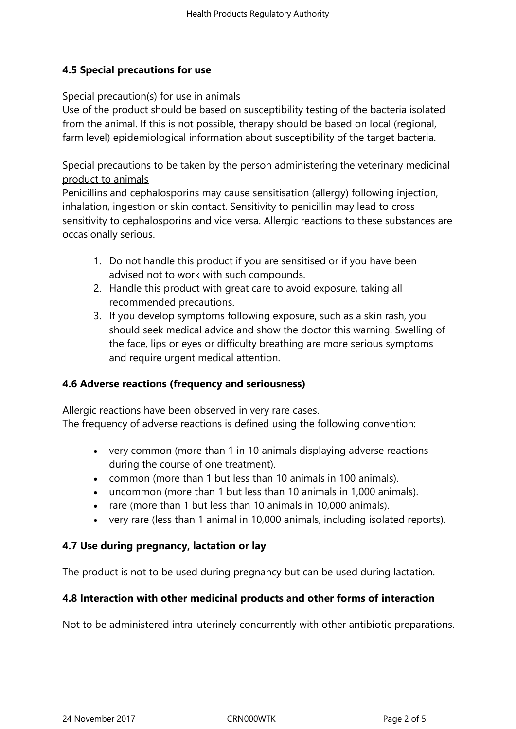# **4.5 Special precautions for use**

### Special precaution(s) for use in animals

Use of the product should be based on susceptibility testing of the bacteria isolated from the animal. If this is not possible, therapy should be based on local (regional, farm level) epidemiological information about susceptibility of the target bacteria.

Special precautions to be taken by the person administering the veterinary medicinal product to animals

Penicillins and cephalosporins may cause sensitisation (allergy) following injection, inhalation, ingestion or skin contact. Sensitivity to penicillin may lead to cross sensitivity to cephalosporins and vice versa. Allergic reactions to these substances are occasionally serious.

- 1. Do not handle this product if you are sensitised or if you have been advised not to work with such compounds.
- 2. Handle this product with great care to avoid exposure, taking all recommended precautions.
- 3. If you develop symptoms following exposure, such as a skin rash, you should seek medical advice and show the doctor this warning. Swelling of the face, lips or eyes or difficulty breathing are more serious symptoms and require urgent medical attention.

## **4.6 Adverse reactions (frequency and seriousness)**

Allergic reactions have been observed in very rare cases. The frequency of adverse reactions is defined using the following convention:

- very common (more than 1 in 10 animals displaying adverse reactions during the course of one treatment).
- common (more than 1 but less than 10 animals in 100 animals).
- uncommon (more than 1 but less than 10 animals in 1,000 animals).
- rare (more than 1 but less than 10 animals in 10,000 animals).
- very rare (less than 1 animal in 10,000 animals, including isolated reports).

## **4.7 Use during pregnancy, lactation or lay**

The product is not to be used during pregnancy but can be used during lactation.

## **4.8 Interaction with other medicinal products and other forms of interaction**

Not to be administered intra-uterinely concurrently with other antibiotic preparations.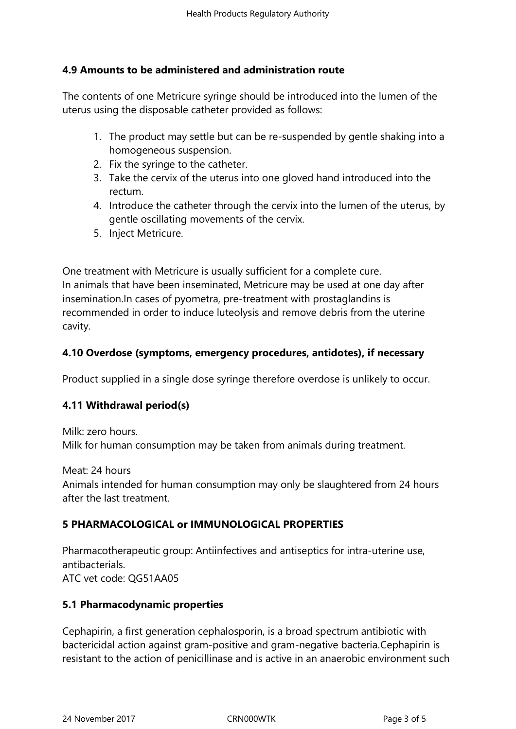## **4.9 Amounts to be administered and administration route**

The contents of one Metricure syringe should be introduced into the lumen of the uterus using the disposable catheter provided as follows:

- 1. The product may settle but can be re-suspended by gentle shaking into a homogeneous suspension.
- 2. Fix the syringe to the catheter.
- 3. Take the cervix of the uterus into one gloved hand introduced into the rectum.
- 4. Introduce the catheter through the cervix into the lumen of the uterus, by gentle oscillating movements of the cervix.
- 5. Inject Metricure.

One treatment with Metricure is usually sufficient for a complete cure. In animals that have been inseminated, Metricure may be used at one day after insemination.In cases of pyometra, pre-treatment with prostaglandins is recommended in order to induce luteolysis and remove debris from the uterine cavity.

## **4.10 Overdose (symptoms, emergency procedures, antidotes), if necessary**

Product supplied in a single dose syringe therefore overdose is unlikely to occur.

## **4.11 Withdrawal period(s)**

Milk: zero hours. Milk for human consumption may be taken from animals during treatment.

Meat: 24 hours Animals intended for human consumption may only be slaughtered from 24 hours after the last treatment.

# **5 PHARMACOLOGICAL or IMMUNOLOGICAL PROPERTIES**

Pharmacotherapeutic group: Antiinfectives and antiseptics for intra-uterine use, antibacterials. ATC vet code: QG51AA05

## **5.1 Pharmacodynamic properties**

Cephapirin, a first generation cephalosporin, is a broad spectrum antibiotic with bactericidal action against gram-positive and gram-negative bacteria.Cephapirin is resistant to the action of penicillinase and is active in an anaerobic environment such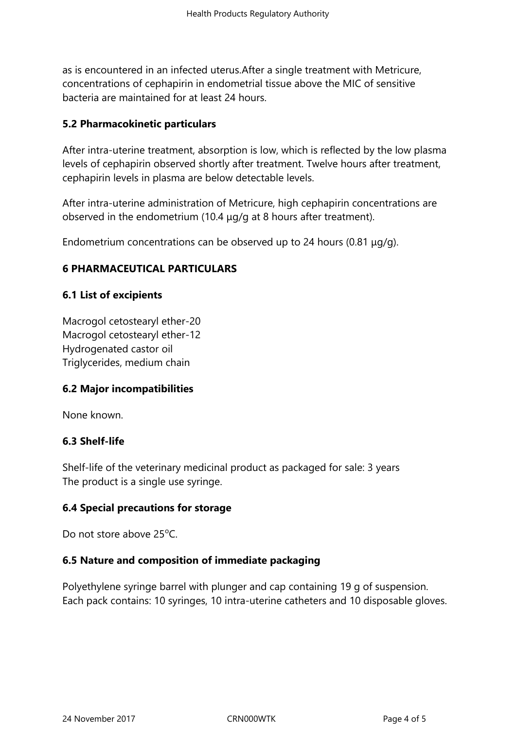as is encountered in an infected uterus.After a single treatment with Metricure, concentrations of cephapirin in endometrial tissue above the MIC of sensitive bacteria are maintained for at least 24 hours.

## **5.2 Pharmacokinetic particulars**

After intra-uterine treatment, absorption is low, which is reflected by the low plasma levels of cephapirin observed shortly after treatment. Twelve hours after treatment, cephapirin levels in plasma are below detectable levels.

After intra-uterine administration of Metricure, high cephapirin concentrations are observed in the endometrium (10.4 μg/g at 8 hours after treatment).

Endometrium concentrations can be observed up to 24 hours (0.81 μg/g).

# **6 PHARMACEUTICAL PARTICULARS**

## **6.1 List of excipients**

Macrogol cetostearyl ether-20 Macrogol cetostearyl ether-12 Hydrogenated castor oil Triglycerides, medium chain

## **6.2 Major incompatibilities**

None known.

### **6.3 Shelf-life**

Shelf-life of the veterinary medicinal product as packaged for sale: 3 years The product is a single use syringe.

## **6.4 Special precautions for storage**

Do not store above  $25^{\circ}$ C.

## **6.5 Nature and composition of immediate packaging**

Polyethylene syringe barrel with plunger and cap containing 19 g of suspension. Each pack contains: 10 syringes, 10 intra-uterine catheters and 10 disposable gloves.